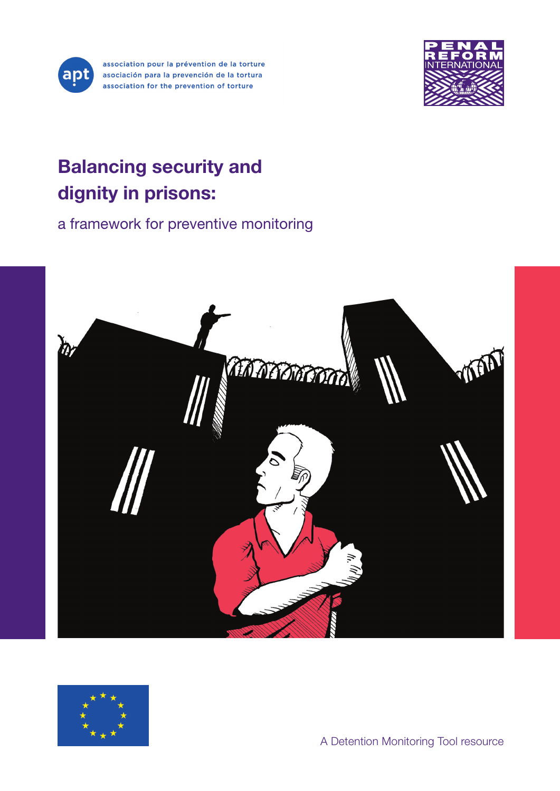

association pour la prévention de la torture asociación para la prevención de la tortura association for the prevention of torture



# Balancing security and dignity in prisons:

a framework for preventive monitoring



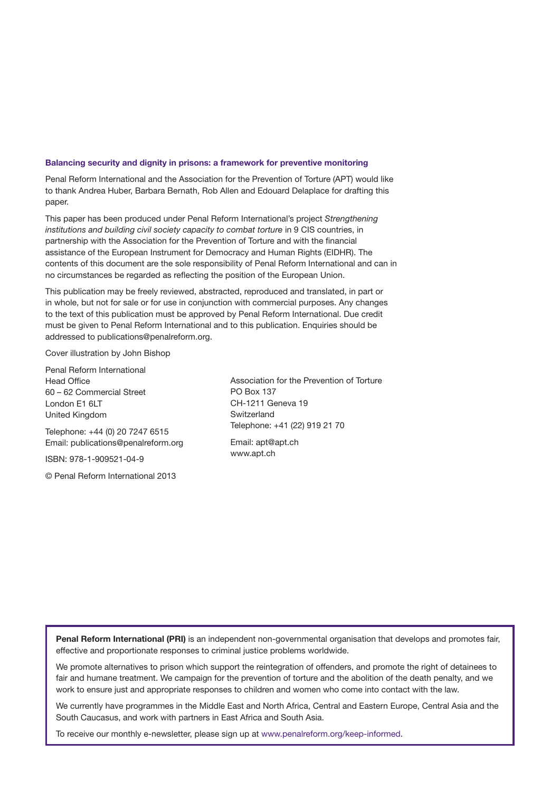#### Balancing security and dignity in prisons: a framework for preventive monitoring

Penal Reform International and the Association for the Prevention of Torture (APT) would like to thank Andrea Huber, Barbara Bernath, Rob Allen and Edouard Delaplace for drafting this paper.

This paper has been produced under Penal Reform International's project *Strengthening institutions and building civil society capacity to combat torture* in 9 CIS countries, in partnership with the Association for the Prevention of Torture and with the financial assistance of the European Instrument for Democracy and Human Rights (EIDHR). The contents of this document are the sole responsibility of Penal Reform International and can in no circumstances be regarded as reflecting the position of the European Union.

This publication may be freely reviewed, abstracted, reproduced and translated, in part or in whole, but not for sale or for use in conjunction with commercial purposes. Any changes to the text of this publication must be approved by Penal Reform International. Due credit must be given to Penal Reform International and to this publication. Enquiries should be addressed to [publications@penalreform.org](mailto:publications@penalreform.org).

Cover illustration by John Bishop

Penal Reform International Head Office 60 – 62 Commercial Street London F1 6LT United Kingdom

Telephone: +44 (0) 20 7247 6515 Email: [publications@penalreform.org](mailto:publications@penalreform.org)

ISBN: 978-1-909521-04-9

© Penal Reform International 2013

Association for the Prevention of Torture PO Box 137 CH-1211 Geneva 19 Switzerland Telephone: +41 (22) 919 21 70

Email: [apt@apt.ch](mailto:apt@apt.ch) www.apt.ch

Penal Reform International (PRI) is an independent non-governmental organisation that develops and promotes fair, effective and proportionate responses to criminal justice problems worldwide.

We promote alternatives to prison which support the reintegration of offenders, and promote the right of detainees to fair and humane treatment. We campaign for the prevention of torture and the abolition of the death penalty, and we work to ensure just and appropriate responses to children and women who come into contact with the law.

We currently have programmes in the Middle East and North Africa, Central and Eastern Europe, Central Asia and the South Caucasus, and work with partners in East Africa and South Asia.

To receive our monthly e-newsletter, please sign up at [www.penalreform.org/keep-informed.](http://www.penalreform.org/keep-informed.Contents)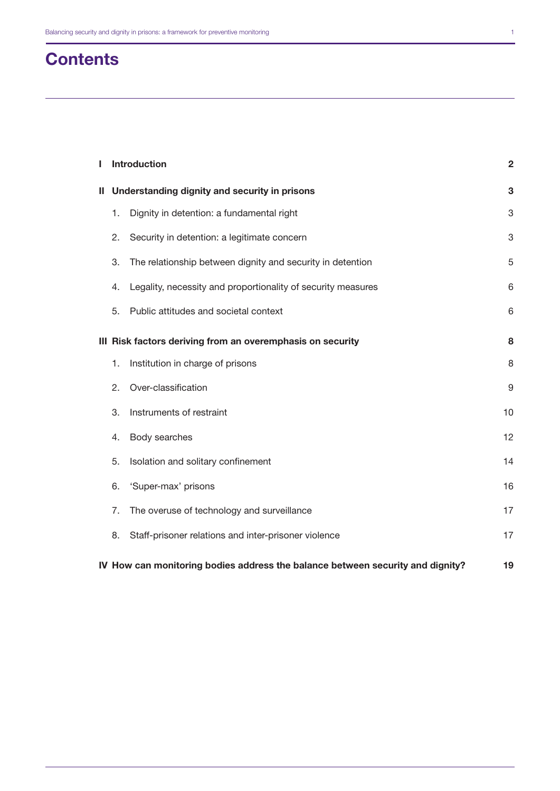| <b>Contents</b> |  |
|-----------------|--|
|-----------------|--|

| ı                                                          |                                                                                | <b>Introduction</b>                                          | $\overline{2}$   |  |
|------------------------------------------------------------|--------------------------------------------------------------------------------|--------------------------------------------------------------|------------------|--|
| Ш.                                                         | Understanding dignity and security in prisons                                  |                                                              | 3                |  |
|                                                            | 1.                                                                             | Dignity in detention: a fundamental right                    | 3                |  |
|                                                            | 2.                                                                             | Security in detention: a legitimate concern                  | 3                |  |
|                                                            | 3.                                                                             | The relationship between dignity and security in detention   | 5                |  |
|                                                            | 4.                                                                             | Legality, necessity and proportionality of security measures | 6                |  |
|                                                            | 5.                                                                             | Public attitudes and societal context                        | 6                |  |
| III Risk factors deriving from an overemphasis on security |                                                                                |                                                              | 8                |  |
|                                                            | 1.                                                                             | Institution in charge of prisons                             | 8                |  |
|                                                            | 2.                                                                             | Over-classification                                          | $\boldsymbol{9}$ |  |
|                                                            | 3.                                                                             | Instruments of restraint                                     | 10               |  |
|                                                            | 4.                                                                             | Body searches                                                | 12               |  |
|                                                            | 5.                                                                             | Isolation and solitary confinement                           | 14               |  |
|                                                            | 6.                                                                             | 'Super-max' prisons                                          | 16               |  |
|                                                            | 7.                                                                             | The overuse of technology and surveillance                   | 17               |  |
|                                                            | 8.                                                                             | Staff-prisoner relations and inter-prisoner violence         | 17               |  |
|                                                            | IV How can monitoring bodies address the balance between security and dignity? |                                                              |                  |  |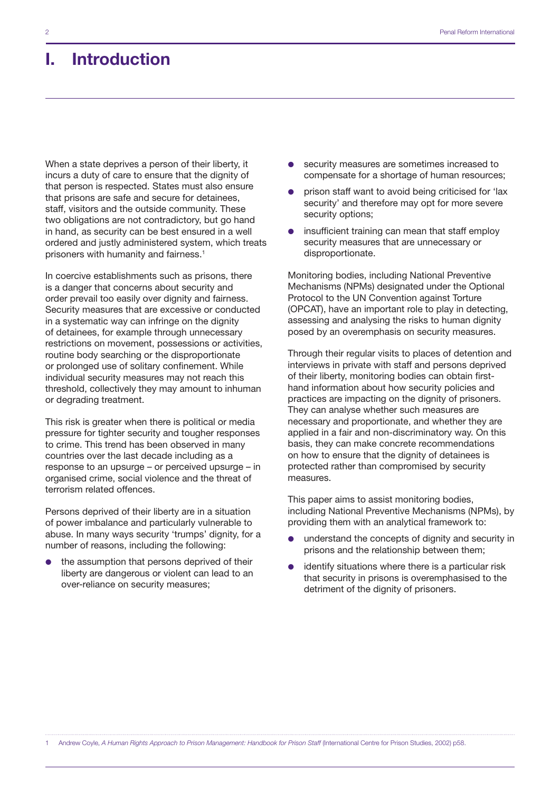## I. Introduction

When a state deprives a person of their liberty, it incurs a duty of care to ensure that the dignity of that person is respected. States must also ensure that prisons are safe and secure for detainees, staff, visitors and the outside community. These two obligations are not contradictory, but go hand in hand, as security can be best ensured in a well ordered and justly administered system, which treats prisoners with humanity and fairness.<sup>1</sup>

In coercive establishments such as prisons, there is a danger that concerns about security and order prevail too easily over dignity and fairness. Security measures that are excessive or conducted in a systematic way can infringe on the dignity of detainees, for example through unnecessary restrictions on movement, possessions or activities, routine body searching or the disproportionate or prolonged use of solitary confinement. While individual security measures may not reach this threshold, collectively they may amount to inhuman or degrading treatment.

This risk is greater when there is political or media pressure for tighter security and tougher responses to crime. This trend has been observed in many countries over the last decade including as a response to an upsurge – or perceived upsurge – in organised crime, social violence and the threat of terrorism related offences.

Persons deprived of their liberty are in a situation of power imbalance and particularly vulnerable to abuse. In many ways security 'trumps' dignity, for a number of reasons, including the following:

the assumption that persons deprived of their liberty are dangerous or violent can lead to an over-reliance on security measures;

- security measures are sometimes increased to compensate for a shortage of human resources;
- prison staff want to avoid being criticised for 'lax security' and therefore may opt for more severe security options;
- insufficient training can mean that staff employ security measures that are unnecessary or disproportionate.

Monitoring bodies, including National Preventive Mechanisms (NPMs) designated under the Optional Protocol to the UN Convention against Torture (OPCAT), have an important role to play in detecting, assessing and analysing the risks to human dignity posed by an overemphasis on security measures.

Through their regular visits to places of detention and interviews in private with staff and persons deprived of their liberty, monitoring bodies can obtain firsthand information about how security policies and practices are impacting on the dignity of prisoners. They can analyse whether such measures are necessary and proportionate, and whether they are applied in a fair and non-discriminatory way. On this basis, they can make concrete recommendations on how to ensure that the dignity of detainees is protected rather than compromised by security measures.

This paper aims to assist monitoring bodies, including National Preventive Mechanisms (NPMs), by providing them with an analytical framework to:

- understand the concepts of dignity and security in prisons and the relationship between them;
- identify situations where there is a particular risk that security in prisons is overemphasised to the detriment of the dignity of prisoners.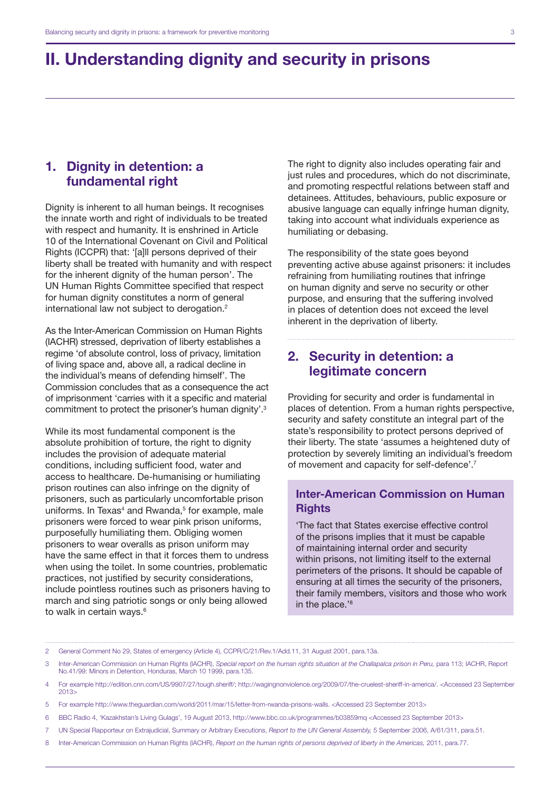## II. Understanding dignity and security in prisons

#### 1. Dignity in detention: a fundamental right

Dignity is inherent to all human beings. It recognises the innate worth and right of individuals to be treated with respect and humanity. It is enshrined in Article 10 of the International Covenant on Civil and Political Rights (ICCPR) that: '[a]ll persons deprived of their liberty shall be treated with humanity and with respect for the inherent dignity of the human person'. The UN Human Rights Committee specified that respect for human dignity constitutes a norm of general international law not subject to derogation.2

As the Inter-American Commission on Human Rights (IACHR) stressed, deprivation of liberty establishes a regime 'of absolute control, loss of privacy, limitation of living space and, above all, a radical decline in the individual's means of defending himself'. The Commission concludes that as a consequence the act of imprisonment 'carries with it a specific and material commitment to protect the prisoner's human dignity'.3

While its most fundamental component is the absolute prohibition of torture, the right to dignity includes the provision of adequate material conditions, including sufficient food, water and access to healthcare. De-humanising or humiliating prison routines can also infringe on the dignity of prisoners, such as particularly uncomfortable prison uniforms. In Texas<sup>4</sup> and Rwanda,<sup>5</sup> for example, male prisoners were forced to wear pink prison uniforms, purposefully humiliating them. Obliging women prisoners to wear overalls as prison uniform may have the same effect in that it forces them to undress when using the toilet. In some countries, problematic practices, not justified by security considerations, include pointless routines such as prisoners having to march and sing patriotic songs or only being allowed to walk in certain ways.<sup>6</sup>

The right to dignity also includes operating fair and just rules and procedures, which do not discriminate, and promoting respectful relations between staff and detainees. Attitudes, behaviours, public exposure or abusive language can equally infringe human dignity, taking into account what individuals experience as humiliating or debasing.

The responsibility of the state goes beyond preventing active abuse against prisoners: it includes refraining from humiliating routines that infringe on human dignity and serve no security or other purpose, and ensuring that the suffering involved in places of detention does not exceed the level inherent in the deprivation of liberty.

#### 2. Security in detention: a legitimate concern

Providing for security and order is fundamental in places of detention. From a human rights perspective, security and safety constitute an integral part of the state's responsibility to protect persons deprived of their liberty. The state 'assumes a heightened duty of protection by severely limiting an individual's freedom of movement and capacity for self-defence'.7

#### Inter-American Commission on Human **Rights**

'The fact that States exercise effective control of the prisons implies that it must be capable of maintaining internal order and security within prisons, not limiting itself to the external perimeters of the prisons. It should be capable of ensuring at all times the security of the prisoners, their family members, visitors and those who work in the place.'<sup>8</sup>

- 5 For example [http://www.theguardian.com/world/2011/mar/15/letter-from-rwanda-prisons-walls.](http://www.theguardian.com/world/2011/mar/15/letter-from-rwanda-prisons-walls) <Accessed 23 September 2013>
- 6 BBC Radio 4, 'Kazakhstan's Living Gulags', 19 August 2013, <http://www.bbc.co.uk/programmes/b03859mq> <Accessed 23 September 2013>
- 7 UN Special Rapporteur on Extrajudicial, Summary or Arbitrary Executions, *Report to the UN General Assembly,* 5 September 2006, A/61/311, para.51.
- 8 Inter-American Commission on Human Rights (IACHR), *Report on the human rights of persons deprived of liberty in the Americas,* 2011, para.77.

<sup>2</sup> General Comment No 29, States of emergency (Article 4), CCPR/C/21/Rev.1/Add.11, 31 August 2001, para.13a.

<sup>3</sup> Inter-American Commission on Human Rights (IACHR), *Special report on the human rights situation at the Challapalca prison in Peru,* para 113; IACHR, Report No.41/99: Minors in Detention, Honduras, March 10 1999, para.135.

<sup>4</sup> For example [http://edition.cnn.com/US/9907/27/tough.sheriff/;](http://edition.cnn.com/US/9907/27/tough.sheriff/) <http://wagingnonviolence.org/2009/07/the-cruelest-sheriff-in-america/>. <Accessed 23 September 2013>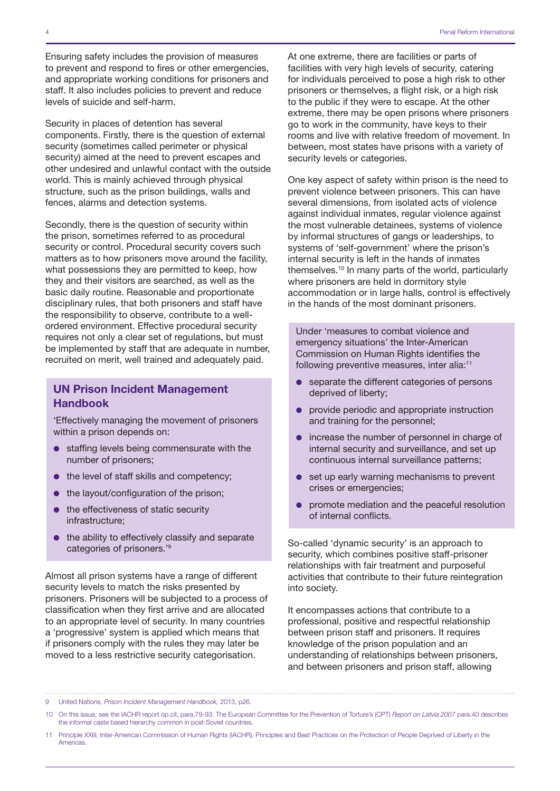Ensuring safety includes the provision of measures to prevent and respond to fires or other emergencies, and appropriate working conditions for prisoners and staff. It also includes policies to prevent and reduce levels of suicide and self-harm.

Security in places of detention has several components. Firstly, there is the question of external security (sometimes called perimeter or physical security) aimed at the need to prevent escapes and other undesired and unlawful contact with the outside world. This is mainly achieved through physical structure, such as the prison buildings, walls and fences, alarms and detection systems.

Secondly, there is the question of security within the prison, sometimes referred to as procedural security or control. Procedural security covers such matters as to how prisoners move around the facility, what possessions they are permitted to keep, how they and their visitors are searched, as well as the basic daily routine. Reasonable and proportionate disciplinary rules, that both prisoners and staff have the responsibility to observe, contribute to a wellordered environment. Effective procedural security requires not only a clear set of regulations, but must be implemented by staff that are adequate in number, recruited on merit, well trained and adequately paid.

#### UN Prison Incident Management Handbook

'Effectively managing the movement of prisoners within a prison depends on:

- $\bullet$  staffing levels being commensurate with the number of prisoners;
- $\bullet$  the level of staff skills and competency;
- $\bullet$  the layout/configuration of the prison;
- $\bullet$  the effectiveness of static security infrastructure;
- $\bullet$  the ability to effectively classify and separate categories of prisoners.'9

Almost all prison systems have a range of different security levels to match the risks presented by prisoners. Prisoners will be subjected to a process of classification when they first arrive and are allocated to an appropriate level of security. In many countries a 'progressive' system is applied which means that if prisoners comply with the rules they may later be moved to a less restrictive security categorisation.

At one extreme, there are facilities or parts of facilities with very high levels of security, catering for individuals perceived to pose a high risk to other prisoners or themselves, a flight risk, or a high risk to the public if they were to escape. At the other extreme, there may be open prisons where prisoners go to work in the community, have keys to their rooms and live with relative freedom of movement. In between, most states have prisons with a variety of security levels or categories.

One key aspect of safety within prison is the need to prevent violence between prisoners. This can have several dimensions, from isolated acts of violence against individual inmates, regular violence against the most vulnerable detainees, systems of violence by informal structures of gangs or leaderships, to systems of 'self-government' where the prison's internal security is left in the hands of inmates themselves.10 In many parts of the world, particularly where prisoners are held in dormitory style accommodation or in large halls, control is effectively in the hands of the most dominant prisoners.

Under 'measures to combat violence and emergency situations' the Inter-American Commission on Human Rights identifies the following preventive measures, inter alia:<sup>11</sup>

- separate the different categories of persons deprived of liberty;
- $\bullet$  provide periodic and appropriate instruction and training for the personnel;
- $\bullet$  increase the number of personnel in charge of internal security and surveillance, and set up continuous internal surveillance patterns;
- $\bullet$  set up early warning mechanisms to prevent crises or emergencies;
- $\bullet$  promote mediation and the peaceful resolution of internal conflicts.

So-called 'dynamic security' is an approach to security, which combines positive staff-prisoner relationships with fair treatment and purposeful activities that contribute to their future reintegration into society.

It encompasses actions that contribute to a professional, positive and respectful relationship between prison staff and prisoners. It requires knowledge of the prison population and an understanding of relationships between prisoners, and between prisoners and prison staff, allowing

9 United Nations, *Prison Incident Management Handbook,* 2013, p26.

<sup>10</sup> On this issue, see the IACHR report op.cit, para.79-93. The European Committee for the Prevention of Torture's (CPT) *Report on Latvia 2007* para.40 describes the informal caste based hierarchy common in post-Soviet countries.

<sup>11</sup> Principle XXIII, Inter-American Commission of Human Rights (IACHR), Principles and Best Practices on the Protection of People Deprived of Liberty in the Americas.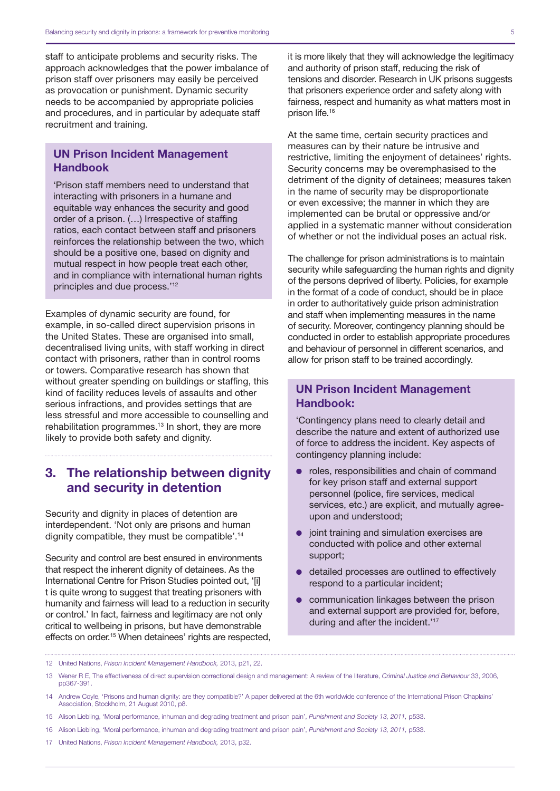staff to anticipate problems and security risks. The approach acknowledges that the power imbalance of prison staff over prisoners may easily be perceived as provocation or punishment. Dynamic security needs to be accompanied by appropriate policies and procedures, and in particular by adequate staff recruitment and training.

#### UN Prison Incident Management Handbook

'Prison staff members need to understand that interacting with prisoners in a humane and equitable way enhances the security and good order of a prison. (…) Irrespective of staffing ratios, each contact between staff and prisoners reinforces the relationship between the two, which should be a positive one, based on dignity and mutual respect in how people treat each other, and in compliance with international human rights principles and due process.'12

Examples of dynamic security are found, for example, in so-called direct supervision prisons in the United States. These are organised into small, decentralised living units, with staff working in direct contact with prisoners, rather than in control rooms or towers. Comparative research has shown that without greater spending on buildings or staffing, this kind of facility reduces levels of assaults and other serious infractions, and provides settings that are less stressful and more accessible to counselling and rehabilitation programmes.<sup>13</sup> In short, they are more likely to provide both safety and dignity.

#### 3. The relationship between dignity and security in detention

Security and dignity in places of detention are interdependent. 'Not only are prisons and human dignity compatible, they must be compatible'.14

Security and control are best ensured in environments that respect the inherent dignity of detainees. As the International Centre for Prison Studies pointed out, '[i] t is quite wrong to suggest that treating prisoners with humanity and fairness will lead to a reduction in security or control.' In fact, fairness and legitimacy are not only critical to wellbeing in prisons, but have demonstrable effects on order.<sup>15</sup> When detainees' rights are respected, it is more likely that they will acknowledge the legitimacy and authority of prison staff, reducing the risk of tensions and disorder. Research in UK prisons suggests that prisoners experience order and safety along with fairness, respect and humanity as what matters most in prison life.16

At the same time, certain security practices and measures can by their nature be intrusive and restrictive, limiting the enjoyment of detainees' rights. Security concerns may be overemphasised to the detriment of the dignity of detainees; measures taken in the name of security may be disproportionate or even excessive; the manner in which they are implemented can be brutal or oppressive and/or applied in a systematic manner without consideration of whether or not the individual poses an actual risk.

The challenge for prison administrations is to maintain security while safeguarding the human rights and dignity of the persons deprived of liberty. Policies, for example in the format of a code of conduct, should be in place in order to authoritatively guide prison administration and staff when implementing measures in the name of security. Moreover, contingency planning should be conducted in order to establish appropriate procedures and behaviour of personnel in different scenarios, and allow for prison staff to be trained accordingly.

#### UN Prison Incident Management Handbook:

'Contingency plans need to clearly detail and describe the nature and extent of authorized use of force to address the incident. Key aspects of contingency planning include:

- $\bullet$  roles, responsibilities and chain of command for key prison staff and external support personnel (police, fire services, medical services, etc.) are explicit, and mutually agreeupon and understood;
- $\bullet$  joint training and simulation exercises are conducted with police and other external support;
- $\bullet$  detailed processes are outlined to effectively respond to a particular incident;
- communication linkages between the prison and external support are provided for, before, during and after the incident.'<sup>17</sup>
- 12 United Nations, *Prison Incident Management Handbook,* 2013, p21, 22.
- 13 Wener R E, The effectiveness of direct supervision correctional design and management: A review of the literature, *Criminal Justice and Behaviour* 33, 2006, pp367-391.
- 14 Andrew Coyle, 'Prisons and human dignity: are they compatible?' A paper delivered at the 6th worldwide conference of the International Prison Chaplains' Association, Stockholm, 21 August 2010, p8.
- 15 Alison Liebling, 'Moral performance, inhuman and degrading treatment and prison pain', *Punishment and Society 13, 2011,* p533.
- 16 Alison Liebling, 'Moral performance, inhuman and degrading treatment and prison pain', *Punishment and Society 13, 2011,* p533.
- 17 United Nations, *Prison Incident Management Handbook,* 2013, p32.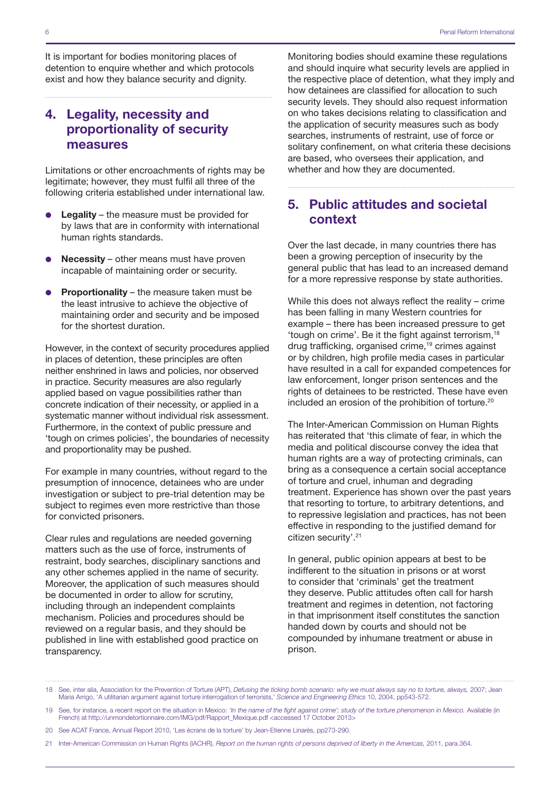It is important for bodies monitoring places of detention to enquire whether and which protocols exist and how they balance security and dignity.

### 4. Legality, necessity and proportionality of security measures

Limitations or other encroachments of rights may be legitimate; however, they must fulfil all three of the following criteria established under international law.

- $\bullet$  Legality the measure must be provided for by laws that are in conformity with international human rights standards.
- **Necessity** other means must have proven incapable of maintaining order or security.
- **Proportionality** the measure taken must be the least intrusive to achieve the objective of maintaining order and security and be imposed for the shortest duration.

However, in the context of security procedures applied in places of detention, these principles are often neither enshrined in laws and policies, nor observed in practice. Security measures are also regularly applied based on vague possibilities rather than concrete indication of their necessity, or applied in a systematic manner without individual risk assessment. Furthermore, in the context of public pressure and 'tough on crimes policies', the boundaries of necessity and proportionality may be pushed.

For example in many countries, without regard to the presumption of innocence, detainees who are under investigation or subject to pre-trial detention may be subject to regimes even more restrictive than those for convicted prisoners.

Clear rules and regulations are needed governing matters such as the use of force, instruments of restraint, body searches, disciplinary sanctions and any other schemes applied in the name of security. Moreover, the application of such measures should be documented in order to allow for scrutiny, including through an independent complaints mechanism. Policies and procedures should be reviewed on a regular basis, and they should be published in line with established good practice on transparency.

Monitoring bodies should examine these regulations and should inquire what security levels are applied in the respective place of detention, what they imply and how detainees are classified for allocation to such security levels. They should also request information on who takes decisions relating to classification and the application of security measures such as body searches, instruments of restraint, use of force or solitary confinement, on what criteria these decisions are based, who oversees their application, and whether and how they are documented.

#### 5. Public attitudes and societal context

Over the last decade, in many countries there has been a growing perception of insecurity by the general public that has lead to an increased demand for a more repressive response by state authorities.

While this does not always reflect the reality – crime has been falling in many Western countries for example – there has been increased pressure to get 'tough on crime'. Be it the fight against terrorism,18 drug trafficking, organised crime,19 crimes against or by children, high profile media cases in particular have resulted in a call for expanded competences for law enforcement, longer prison sentences and the rights of detainees to be restricted. These have even included an erosion of the prohibition of torture.20

The Inter-American Commission on Human Rights has reiterated that 'this climate of fear, in which the media and political discourse convey the idea that human rights are a way of protecting criminals, can bring as a consequence a certain social acceptance of torture and cruel, inhuman and degrading treatment. Experience has shown over the past years that resorting to torture, to arbitrary detentions, and to repressive legislation and practices, has not been effective in responding to the justified demand for citizen security'.<sup>21</sup>

In general, public opinion appears at best to be indifferent to the situation in prisons or at worst to consider that 'criminals' get the treatment they deserve. Public attitudes often call for harsh treatment and regimes in detention, not factoring in that imprisonment itself constitutes the sanction handed down by courts and should not be compounded by inhumane treatment or abuse in prison.

<sup>18</sup> See, inter alia, Association for the Prevention of Torture (APT), *Defusing the ticking bomb scenario: why we must always say no to torture, always,* 2007; Jean Maria Arrigo, 'A utilitarian argument against torture interrogation of terrorists,' *Science and Engineering Ethics* 10, 2004, pp543-572.

<sup>19</sup> See, for instance, a recent report on the situation in Mexico: *'In the name of the fight against crime': study of the torture phenomenon in Mexico.* Available (in French) at [http://unmondetortionnaire.com/IMG/pdf/Rapport\\_Mexique.pdf](http://unmondetortionnaire.com/IMG/pdf/Rapport_Mexique.pdf) <accessed 17 October 2013>

<sup>20</sup> See ACAT France, Annual Report 2010, 'Les écrans de la torture' by Jean-Etienne Linarés, pp273-290.

<sup>21</sup> Inter-American Commission on Human Rights (IACHR), *Report on the human rights of persons deprived of liberty in the Americas,* 2011, para.364.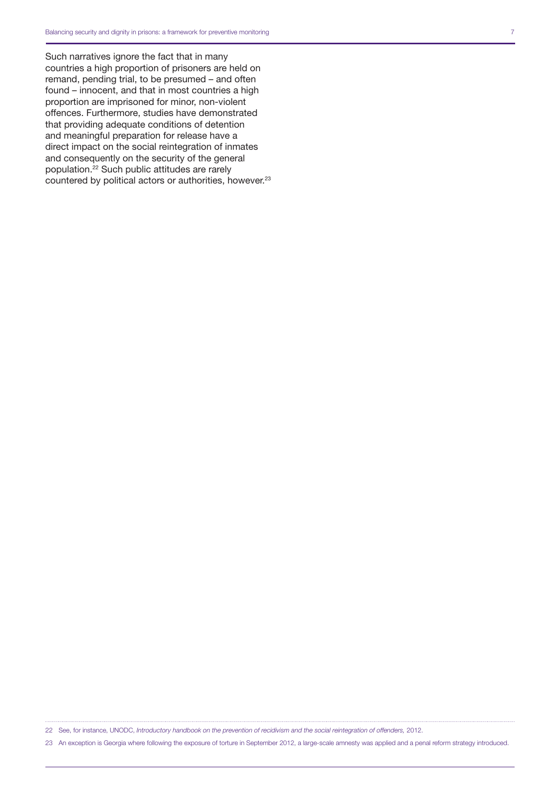Such narratives ignore the fact that in many countries a high proportion of prisoners are held on remand, pending trial, to be presumed – and often found – innocent, and that in most countries a high proportion are imprisoned for minor, non-violent offences. Furthermore, studies have demonstrated that providing adequate conditions of detention and meaningful preparation for release have a direct impact on the social reintegration of inmates and consequently on the security of the general population.22 Such public attitudes are rarely countered by political actors or authorities, however.23

22 See, for instance, UNODC, *Introductory handbook on the prevention of recidivism and the social reintegration of offenders,* 2012.

23 An exception is Georgia where following the exposure of torture in September 2012, a large-scale amnesty was applied and a penal reform strategy introduced.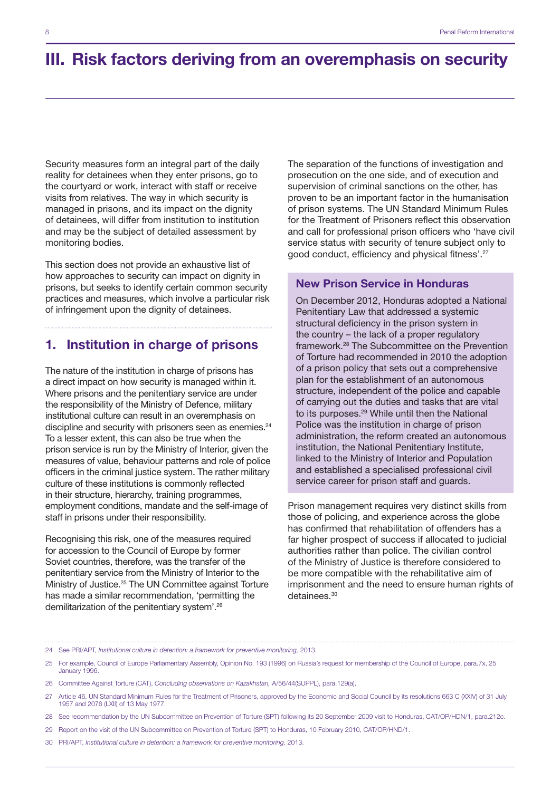## III. Risk factors deriving from an overemphasis on security

Security measures form an integral part of the daily reality for detainees when they enter prisons, go to the courtyard or work, interact with staff or receive visits from relatives. The way in which security is managed in prisons, and its impact on the dignity of detainees, will differ from institution to institution and may be the subject of detailed assessment by monitoring bodies.

This section does not provide an exhaustive list of how approaches to security can impact on dignity in prisons, but seeks to identify certain common security practices and measures, which involve a particular risk of infringement upon the dignity of detainees.

#### 1. Institution in charge of prisons

The nature of the institution in charge of prisons has a direct impact on how security is managed within it. Where prisons and the penitentiary service are under the responsibility of the Ministry of Defence, military institutional culture can result in an overemphasis on discipline and security with prisoners seen as enemies.<sup>24</sup> To a lesser extent, this can also be true when the prison service is run by the Ministry of Interior, given the measures of value, behaviour patterns and role of police officers in the criminal justice system. The rather military culture of these institutions is commonly reflected in their structure, hierarchy, training programmes, employment conditions, mandate and the self-image of staff in prisons under their responsibility.

Recognising this risk, one of the measures required for accession to the Council of Europe by former Soviet countries, therefore, was the transfer of the penitentiary service from the Ministry of Interior to the Ministry of Justice.25 The UN Committee against Torture has made a similar recommendation, 'permitting the demilitarization of the penitentiary system'.26

The separation of the functions of investigation and prosecution on the one side, and of execution and supervision of criminal sanctions on the other, has proven to be an important factor in the humanisation of prison systems. The UN Standard Minimum Rules for the Treatment of Prisoners reflect this observation and call for professional prison officers who 'have civil service status with security of tenure subject only to good conduct, efficiency and physical fitness'.27

#### New Prison Service in Honduras

On December 2012, Honduras adopted a National Penitentiary Law that addressed a systemic structural deficiency in the prison system in the country – the lack of a proper regulatory framework.28 The Subcommittee on the Prevention of Torture had recommended in 2010 the adoption of a prison policy that sets out a comprehensive plan for the establishment of an autonomous structure, independent of the police and capable of carrying out the duties and tasks that are vital to its purposes.29 While until then the National Police was the institution in charge of prison administration, the reform created an autonomous institution, the National Penitentiary Institute, linked to the Ministry of Interior and Population and established a specialised professional civil service career for prison staff and guards.

Prison management requires very distinct skills from those of policing, and experience across the globe has confirmed that rehabilitation of offenders has a far higher prospect of success if allocated to judicial authorities rather than police. The civilian control of the Ministry of Justice is therefore considered to be more compatible with the rehabilitative aim of imprisonment and the need to ensure human rights of detainees.<sup>30</sup>

- 28 See recommendation by the UN Subcommittee on Prevention of Torture (SPT) following its 20 September 2009 visit to Honduras, CAT/OP/HDN/1, para.212c.
- 29 Report on the visit of the UN Subcommittee on Prevention of Torture (SPT) to Honduras, 10 February 2010, CAT/OP/HND/1.
- 30 PRI/APT, *Institutional culture in detention: a framework for preventive monitoring,* 2013.

<sup>24</sup> See PRI/APT, *Institutional culture in detention: a framework for preventive monitoring,* 2013.

<sup>25</sup> For example, Council of Europe Parliamentary Assembly, Opinion No. 193 (1996) on Russia's request for membership of the Council of Europe, para.7x, 25 January 1996.

<sup>26</sup> Committee Against Torture (CAT), *Concluding observations on Kazakhstan,* A/56/44(SUPPL), para.129(a).

<sup>27</sup> Article 46, UN Standard Minimum Rules for the Treatment of Prisoners, approved by the Economic and Social Council by its resolutions 663 C (XXIV) of 31 July 1957 and 2076 (LXII) of 13 May 1977.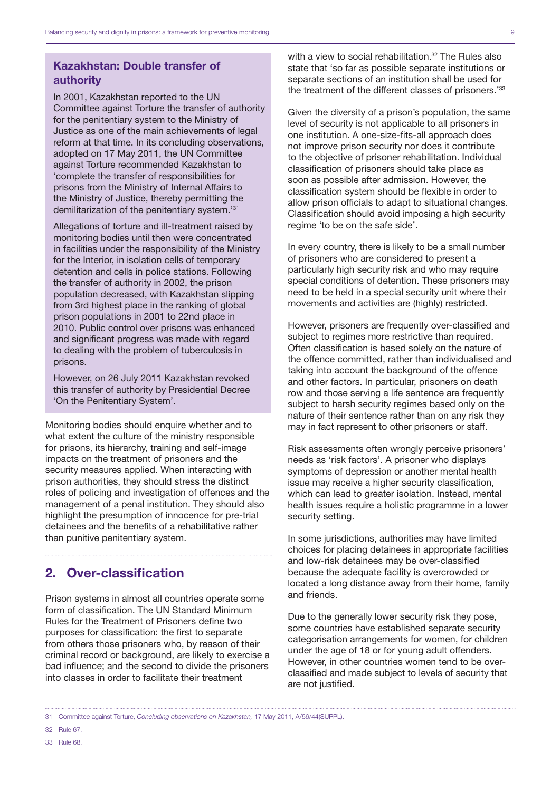#### Kazakhstan: Double transfer of authority

In 2001, Kazakhstan reported to the UN Committee against Torture the transfer of authority for the penitentiary system to the Ministry of Justice as one of the main achievements of legal reform at that time. In its concluding observations, adopted on 17 May 2011, the UN Committee against Torture recommended Kazakhstan to 'complete the transfer of responsibilities for prisons from the Ministry of Internal Affairs to the Ministry of Justice, thereby permitting the demilitarization of the penitentiary system.'31

Allegations of torture and ill-treatment raised by monitoring bodies until then were concentrated in facilities under the responsibility of the Ministry for the Interior, in isolation cells of temporary detention and cells in police stations. Following the transfer of authority in 2002, the prison population decreased, with Kazakhstan slipping from 3rd highest place in the ranking of global prison populations in 2001 to 22nd place in 2010. Public control over prisons was enhanced and significant progress was made with regard to dealing with the problem of tuberculosis in prisons.

However, on 26 July 2011 Kazakhstan revoked this transfer of authority by Presidential Decree 'On the Penitentiary System'.

Monitoring bodies should enquire whether and to what extent the culture of the ministry responsible for prisons, its hierarchy, training and self-image impacts on the treatment of prisoners and the security measures applied. When interacting with prison authorities, they should stress the distinct roles of policing and investigation of offences and the management of a penal institution. They should also highlight the presumption of innocence for pre-trial detainees and the benefits of a rehabilitative rather than punitive penitentiary system.

### 2. Over-classification

Prison systems in almost all countries operate some form of classification. The UN Standard Minimum Rules for the Treatment of Prisoners define two purposes for classification: the first to separate from others those prisoners who, by reason of their criminal record or background, are likely to exercise a bad influence; and the second to divide the prisoners into classes in order to facilitate their treatment

with a view to social rehabilitation.<sup>32</sup> The Rules also state that 'so far as possible separate institutions or separate sections of an institution shall be used for the treatment of the different classes of prisoners.'33

Given the diversity of a prison's population, the same level of security is not applicable to all prisoners in one institution. A one-size-fits-all approach does not improve prison security nor does it contribute to the objective of prisoner rehabilitation. Individual classification of prisoners should take place as soon as possible after admission. However, the classification system should be flexible in order to allow prison officials to adapt to situational changes. Classification should avoid imposing a high security regime 'to be on the safe side'.

In every country, there is likely to be a small number of prisoners who are considered to present a particularly high security risk and who may require special conditions of detention. These prisoners may need to be held in a special security unit where their movements and activities are (highly) restricted.

However, prisoners are frequently over-classified and subject to regimes more restrictive than required. Often classification is based solely on the nature of the offence committed, rather than individualised and taking into account the background of the offence and other factors. In particular, prisoners on death row and those serving a life sentence are frequently subject to harsh security regimes based only on the nature of their sentence rather than on any risk they may in fact represent to other prisoners or staff.

Risk assessments often wrongly perceive prisoners' needs as 'risk factors'. A prisoner who displays symptoms of depression or another mental health issue may receive a higher security classification, which can lead to greater isolation. Instead, mental health issues require a holistic programme in a lower security setting.

In some jurisdictions, authorities may have limited choices for placing detainees in appropriate facilities and low-risk detainees may be over-classified because the adequate facility is overcrowded or located a long distance away from their home, family and friends.

Due to the generally lower security risk they pose, some countries have established separate security categorisation arrangements for women, for children under the age of 18 or for young adult offenders. However, in other countries women tend to be overclassified and made subject to levels of security that are not justified.

33 Rule 68.

<sup>31</sup> Committee against Torture, *Concluding observations on Kazakhstan,* 17 May 2011, A/56/44(SUPPL).

<sup>32</sup> Rule 67.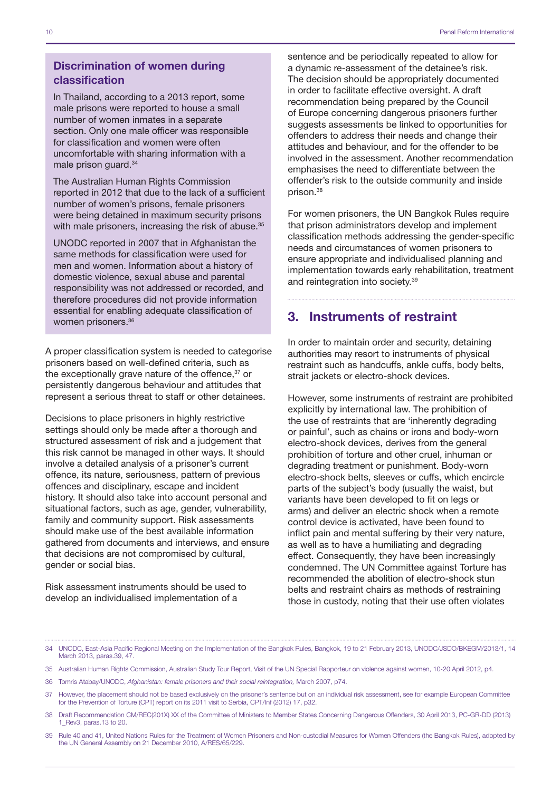#### Discrimination of women during classification

In Thailand, according to a 2013 report, some male prisons were reported to house a small number of women inmates in a separate section. Only one male officer was responsible for classification and women were often uncomfortable with sharing information with a male prison guard.34

The Australian Human Rights Commission reported in 2012 that due to the lack of a sufficient number of women's prisons, female prisoners were being detained in maximum security prisons with male prisoners, increasing the risk of abuse.<sup>35</sup>

UNODC reported in 2007 that in Afghanistan the same methods for classification were used for men and women. Information about a history of domestic violence, sexual abuse and parental responsibility was not addressed or recorded, and therefore procedures did not provide information essential for enabling adequate classification of women prisoners.36

A proper classification system is needed to categorise prisoners based on well-defined criteria, such as the exceptionally grave nature of the offence,<sup>37</sup> or persistently dangerous behaviour and attitudes that represent a serious threat to staff or other detainees.

Decisions to place prisoners in highly restrictive settings should only be made after a thorough and structured assessment of risk and a judgement that this risk cannot be managed in other ways. It should involve a detailed analysis of a prisoner's current offence, its nature, seriousness, pattern of previous offences and disciplinary, escape and incident history. It should also take into account personal and situational factors, such as age, gender, vulnerability, family and community support. Risk assessments should make use of the best available information gathered from documents and interviews, and ensure that decisions are not compromised by cultural, gender or social bias.

Risk assessment instruments should be used to develop an individualised implementation of a

sentence and be periodically repeated to allow for a dynamic re-assessment of the detainee's risk. The decision should be appropriately documented in order to facilitate effective oversight. A draft recommendation being prepared by the Council of Europe concerning dangerous prisoners further suggests assessments be linked to opportunities for offenders to address their needs and change their attitudes and behaviour, and for the offender to be involved in the assessment. Another recommendation emphasises the need to differentiate between the offender's risk to the outside community and inside prison.38

For women prisoners, the UN Bangkok Rules require that prison administrators develop and implement classification methods addressing the gender-specific needs and circumstances of women prisoners to ensure appropriate and individualised planning and implementation towards early rehabilitation, treatment and reintegration into society.39

#### 3. Instruments of restraint

In order to maintain order and security, detaining authorities may resort to instruments of physical restraint such as handcuffs, ankle cuffs, body belts, strait jackets or electro-shock devices.

However, some instruments of restraint are prohibited explicitly by international law. The prohibition of the use of restraints that are 'inherently degrading or painful', such as chains or irons and body-worn electro-shock devices, derives from the general prohibition of torture and other cruel, inhuman or degrading treatment or punishment. Body-worn electro-shock belts, sleeves or cuffs, which encircle parts of the subject's body (usually the waist, but variants have been developed to fit on legs or arms) and deliver an electric shock when a remote control device is activated, have been found to inflict pain and mental suffering by their very nature, as well as to have a humiliating and degrading effect. Consequently, they have been increasingly condemned. The UN Committee against Torture has recommended the abolition of electro-shock stun belts and restraint chairs as methods of restraining those in custody, noting that their use often violates

39 Rule 40 and 41, United Nations Rules for the Treatment of Women Prisoners and Non-custodial Measures for Women Offenders (the Bangkok Rules), adopted by the UN General Assembly on 21 December 2010, A/RES/65/229.

<sup>34</sup> UNODC, East-Asia Pacific Regional Meeting on the Implementation of the Bangkok Rules, Bangkok, 19 to 21 February 2013, UNODC/JSDO/BKEGM/2013/1, 14 March 2013, paras.39, 47.

<sup>35</sup> Australian Human Rights Commission, Australian Study Tour Report, Visit of the UN Special Rapporteur on violence against women, 10-20 April 2012, p4.

<sup>36</sup> Tomris Atabay/UNODC, *Afghanistan: female prisoners and their social reintegration,* March 2007, p74.

<sup>37</sup> However, the placement should not be based exclusively on the prisoner's sentence but on an individual risk assessment, see for example European Committee for the Prevention of Torture (CPT) report on its 2011 visit to Serbia, CPT/Inf (2012) 17, p32.

<sup>38</sup> Draft Recommendation CM/REC(201X) XX of the Committee of Ministers to Member States Concerning Dangerous Offenders, 30 April 2013, PC-GR-DD (2013) 1\_Rev3, paras.13 to 20.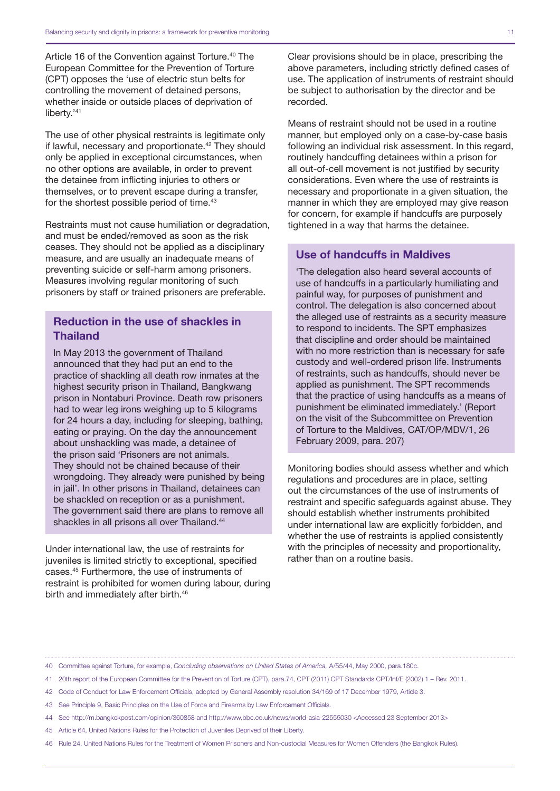Article 16 of the Convention against Torture.<sup>40</sup> The European Committee for the Prevention of Torture (CPT) opposes the 'use of electric stun belts for controlling the movement of detained persons, whether inside or outside places of deprivation of liberty.'<sup>41</sup>

The use of other physical restraints is legitimate only if lawful, necessary and proportionate.<sup>42</sup> They should only be applied in exceptional circumstances, when no other options are available, in order to prevent the detainee from inflicting injuries to others or themselves, or to prevent escape during a transfer, for the shortest possible period of time.<sup>43</sup>

Restraints must not cause humiliation or degradation, and must be ended/removed as soon as the risk ceases. They should not be applied as a disciplinary measure, and are usually an inadequate means of preventing suicide or self-harm among prisoners. Measures involving regular monitoring of such prisoners by staff or trained prisoners are preferable.

#### Reduction in the use of shackles in Thailand

In May 2013 the government of Thailand announced that they had put an end to the practice of shackling all death row inmates at the highest security prison in Thailand, Bangkwang prison in Nontaburi Province. Death row prisoners had to wear leg irons weighing up to 5 kilograms for 24 hours a day, including for sleeping, bathing, eating or praying. On the day the announcement about unshackling was made, a detainee of the prison said 'Prisoners are not animals. They should not be chained because of their wrongdoing. They already were punished by being in jail'. In other prisons in Thailand, detainees can be shackled on reception or as a punishment. The government said there are plans to remove all shackles in all prisons all over Thailand.<sup>44</sup>

Under international law, the use of restraints for juveniles is limited strictly to exceptional, specified cases.45 Furthermore, the use of instruments of restraint is prohibited for women during labour, during birth and immediately after birth.<sup>46</sup>

Clear provisions should be in place, prescribing the above parameters, including strictly defined cases of use. The application of instruments of restraint should be subject to authorisation by the director and be recorded.

Means of restraint should not be used in a routine manner, but employed only on a case-by-case basis following an individual risk assessment. In this regard, routinely handcuffing detainees within a prison for all out-of-cell movement is not justified by security considerations. Even where the use of restraints is necessary and proportionate in a given situation, the manner in which they are employed may give reason for concern, for example if handcuffs are purposely tightened in a way that harms the detainee.

#### Use of handcuffs in Maldives

'The delegation also heard several accounts of use of handcuffs in a particularly humiliating and painful way, for purposes of punishment and control. The delegation is also concerned about the alleged use of restraints as a security measure to respond to incidents. The SPT emphasizes that discipline and order should be maintained with no more restriction than is necessary for safe custody and well-ordered prison life. Instruments of restraints, such as handcuffs, should never be applied as punishment. The SPT recommends that the practice of using handcuffs as a means of punishment be eliminated immediately.' (Report on the visit of the Subcommittee on Prevention of Torture to the Maldives, CAT/OP/MDV/1, 26 February 2009, para. 207)

Monitoring bodies should assess whether and which regulations and procedures are in place, setting out the circumstances of the use of instruments of restraint and specific safeguards against abuse. They should establish whether instruments prohibited under international law are explicitly forbidden, and whether the use of restraints is applied consistently with the principles of necessity and proportionality, rather than on a routine basis.

<sup>40</sup> Committee against Torture, for example, *Concluding observations on United States of America,* A/55/44, May 2000, para.180c.

<sup>41</sup> 20th report of the European Committee for the Prevention of Torture (CPT), para.74, CPT (2011) CPT Standards CPT/Inf/E (2002) 1 – Rev. 2011.

<sup>42</sup> Code of Conduct for Law Enforcement Officials, adopted by General Assembly resolution 34/169 of 17 December 1979, Article 3.

<sup>43</sup> See Principle 9, Basic Principles on the Use of Force and Firearms by Law Enforcement Officials.

<sup>44</sup> See <http://m.bangkokpost.com/opinion/360858> and<http://www.bbc.co.uk/news/world-asia-22555030><Accessed 23 September 2013>

<sup>45</sup> Article 64, United Nations Rules for the Protection of Juveniles Deprived of their Liberty.

<sup>46</sup> Rule 24, United Nations Rules for the Treatment of Women Prisoners and Non-custodial Measures for Women Offenders (the Bangkok Rules).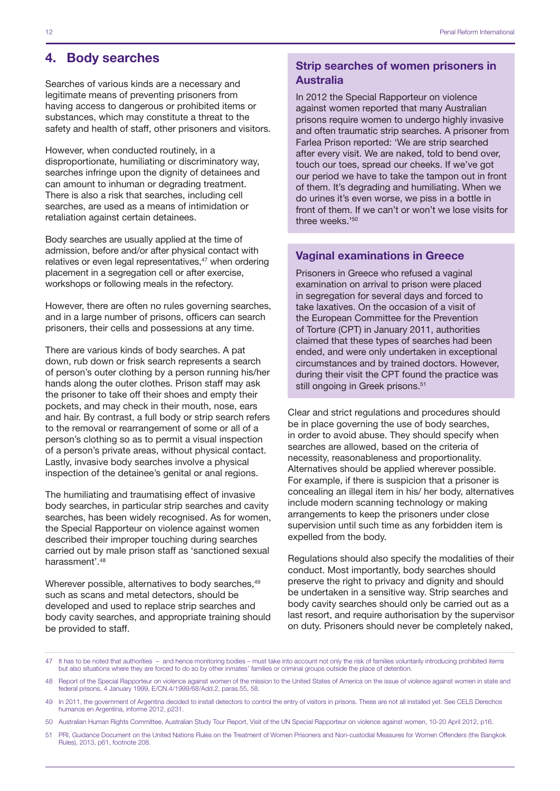#### 4. Body searches

Searches of various kinds are a necessary and legitimate means of preventing prisoners from having access to dangerous or prohibited items or substances, which may constitute a threat to the safety and health of staff, other prisoners and visitors.

However, when conducted routinely, in a disproportionate, humiliating or discriminatory way, searches infringe upon the dignity of detainees and can amount to inhuman or degrading treatment. There is also a risk that searches, including cell searches, are used as a means of intimidation or retaliation against certain detainees.

Body searches are usually applied at the time of admission, before and/or after physical contact with relatives or even legal representatives,<sup>47</sup> when ordering placement in a segregation cell or after exercise, workshops or following meals in the refectory.

However, there are often no rules governing searches, and in a large number of prisons, officers can search prisoners, their cells and possessions at any time.

There are various kinds of body searches. A pat down, rub down or frisk search represents a search of person's outer clothing by a person running his/her hands along the outer clothes. Prison staff may ask the prisoner to take off their shoes and empty their pockets, and may check in their mouth, nose, ears and hair. By contrast, a full body or strip search refers to the removal or rearrangement of some or all of a person's clothing so as to permit a visual inspection of a person's private areas, without physical contact. Lastly, invasive body searches involve a physical inspection of the detainee's genital or anal regions.

The humiliating and traumatising effect of invasive body searches, in particular strip searches and cavity searches, has been widely recognised. As for women, the Special Rapporteur on violence against women described their improper touching during searches carried out by male prison staff as 'sanctioned sexual harassment'.48

Wherever possible, alternatives to body searches,  $49$ such as scans and metal detectors, should be developed and used to replace strip searches and body cavity searches, and appropriate training should be provided to staff.

#### Strip searches of women prisoners in Australia

In 2012 the Special Rapporteur on violence against women reported that many Australian prisons require women to undergo highly invasive and often traumatic strip searches. A prisoner from Farlea Prison reported: 'We are strip searched after every visit. We are naked, told to bend over, touch our toes, spread our cheeks. If we've got our period we have to take the tampon out in front of them. It's degrading and humiliating. When we do urines it's even worse, we piss in a bottle in front of them. If we can't or won't we lose visits for three weeks.'50

#### Vaginal examinations in Greece

Prisoners in Greece who refused a vaginal examination on arrival to prison were placed in segregation for several days and forced to take laxatives. On the occasion of a visit of the European Committee for the Prevention of Torture (CPT) in January 2011, authorities claimed that these types of searches had been ended, and were only undertaken in exceptional circumstances and by trained doctors. However, during their visit the CPT found the practice was still ongoing in Greek prisons.<sup>51</sup>

Clear and strict regulations and procedures should be in place governing the use of body searches, in order to avoid abuse. They should specify when searches are allowed, based on the criteria of necessity, reasonableness and proportionality. Alternatives should be applied wherever possible. For example, if there is suspicion that a prisoner is concealing an illegal item in his/ her body, alternatives include modern scanning technology or making arrangements to keep the prisoners under close supervision until such time as any forbidden item is expelled from the body.

Regulations should also specify the modalities of their conduct. Most importantly, body searches should preserve the right to privacy and dignity and should be undertaken in a sensitive way. Strip searches and body cavity searches should only be carried out as a last resort, and require authorisation by the supervisor on duty. Prisoners should never be completely naked,

50 Australian Human Rights Committee, Australian Study Tour Report, Visit of the UN Special Rapporteur on violence against women, 10-20 April 2012, p16.

<sup>47</sup> It has to be noted that authorities – and hence monitoring bodies – must take into account not only the risk of families voluntarily introducing prohibited items but also situations where they are forced to do so by other inmates' families or criminal groups outside the place of detention.

<sup>48</sup> Report of the Special Rapporteur on violence against women of the mission to the United States of America on the issue of violence against women in state and federal prisons, 4 January 1999, E/CN.4/1999/68/Add.2, paras.55, 58.

<sup>49</sup> In 2011, the government of Argentina decided to install detectors to control the entry of visitors in prisons. These are not all installed yet. See CELS Derechos humanos en Argentina, informe 2012, p231.

<sup>51</sup> PRI, Guidance Document on the United Nations Rules on the Treatment of Women Prisoners and Non-custodial Measures for Women Offenders (the Bangkok Rules), 2013, p61, footnote 208.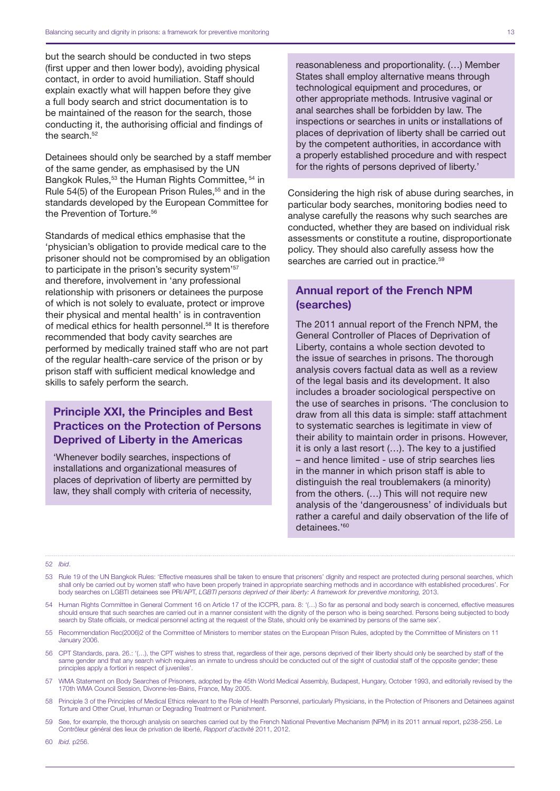but the search should be conducted in two steps (first upper and then lower body), avoiding physical contact, in order to avoid humiliation. Staff should explain exactly what will happen before they give a full body search and strict documentation is to be maintained of the reason for the search, those conducting it, the authorising official and findings of the search.<sup>52</sup>

Detainees should only be searched by a staff member of the same gender, as emphasised by the UN Bangkok Rules,<sup>53</sup> the Human Rights Committee, <sup>54</sup> in Rule 54(5) of the European Prison Rules.<sup>55</sup> and in the standards developed by the European Committee for the Prevention of Torture.<sup>56</sup>

Standards of medical ethics emphasise that the 'physician's obligation to provide medical care to the prisoner should not be compromised by an obligation to participate in the prison's security system'<sup>57</sup> and therefore, involvement in 'any professional relationship with prisoners or detainees the purpose of which is not solely to evaluate, protect or improve their physical and mental health' is in contravention of medical ethics for health personnel.<sup>58</sup> It is therefore recommended that body cavity searches are performed by medically trained staff who are not part of the regular health-care service of the prison or by prison staff with sufficient medical knowledge and skills to safely perform the search.

#### Principle XXI, the Principles and Best Practices on the Protection of Persons Deprived of Liberty in the Americas

'Whenever bodily searches, inspections of installations and organizational measures of places of deprivation of liberty are permitted by law, they shall comply with criteria of necessity, reasonableness and proportionality. (…) Member States shall employ alternative means through technological equipment and procedures, or other appropriate methods. Intrusive vaginal or anal searches shall be forbidden by law. The inspections or searches in units or installations of places of deprivation of liberty shall be carried out by the competent authorities, in accordance with a properly established procedure and with respect for the rights of persons deprived of liberty.'

Considering the high risk of abuse during searches, in particular body searches, monitoring bodies need to analyse carefully the reasons why such searches are conducted, whether they are based on individual risk assessments or constitute a routine, disproportionate policy. They should also carefully assess how the searches are carried out in practice.<sup>59</sup>

#### Annual report of the French NPM (searches)

The 2011 annual report of the French NPM, the General Controller of Places of Deprivation of Liberty, contains a whole section devoted to the issue of searches in prisons. The thorough analysis covers factual data as well as a review of the legal basis and its development. It also includes a broader sociological perspective on the use of searches in prisons. 'The conclusion to draw from all this data is simple: staff attachment to systematic searches is legitimate in view of their ability to maintain order in prisons. However, it is only a last resort (…). The key to a justified – and hence limited - use of strip searches lies in the manner in which prison staff is able to distinguish the real troublemakers (a minority) from the others. (…) This will not require new analysis of the 'dangerousness' of individuals but rather a careful and daily observation of the life of detainees.'60

#### 52 *Ibid*.

- 53 Rule 19 of the UN Bangkok Rules: 'Effective measures shall be taken to ensure that prisoners' dignity and respect are protected during personal searches, which shall only be carried out by women staff who have been properly trained in appropriate searching methods and in accordance with established procedures'. For body searches on LGBTI detainees see PRI/APT, LGBTI persons deprived of their liberty: A framework for preventive monitoring, 2013.
- 54 Human Rights Committee in General Comment 16 on Article 17 of the ICCPR, para. 8: '(…) So far as personal and body search is concerned, effective measures should ensure that such searches are carried out in a manner consistent with the dignity of the person who is being searched. Persons being subjected to body search by State officials, or medical personnel acting at the request of the State, should only be examined by persons of the same sex'.
- 55 Recommendation Rec(2006)2 of the Committee of Ministers to member states on the European Prison Rules, adopted by the Committee of Ministers on 11 January 2006.
- 56 CPT Standards, para. 26.: '(…), the CPT wishes to stress that, regardless of their age, persons deprived of their liberty should only be searched by staff of the same gender and that any search which requires an inmate to undress should be conducted out of the sight of custodial staff of the opposite gender; these principles apply a fortiori in respect of juveniles'
- 57 WMA Statement on Body Searches of Prisoners, adopted by the 45th World Medical Assembly, Budapest, Hungary, October 1993, and editorially revised by the 170th WMA Council Session, Divonne-les-Bains, France, May 2005.
- 58 Principle 3 of the Principles of Medical Ethics relevant to the Role of Health Personnel, particularly Physicians, in the Protection of Prisoners and Detainees against Torture and Other Cruel, Inhuman or Degrading Treatment or Punishment.
- 59 See, for example, the thorough analysis on searches carried out by the French National Preventive Mechanism (NPM) in its 2011 annual report, p238-256. Le Contrôleur général des lieux de privation de liberté, *Rapport d'activité* 2011, 2012.
- 60 *Ibid.* p256.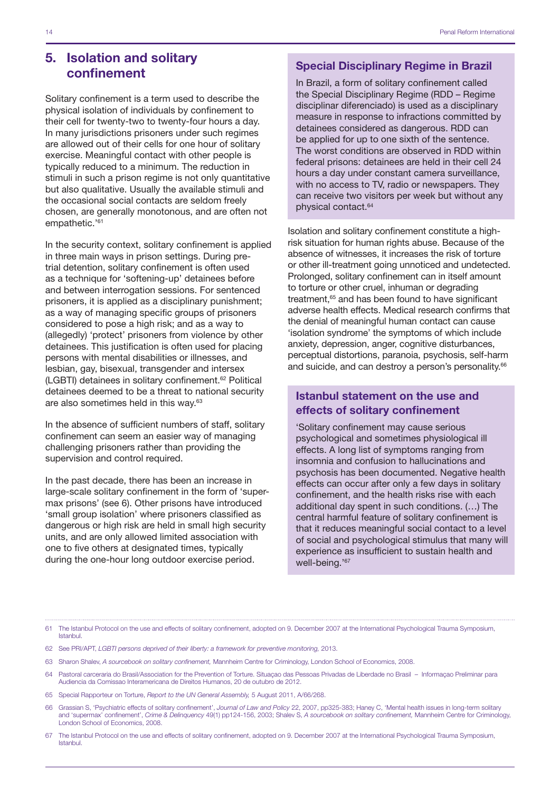#### 5. Isolation and solitary confinement

Solitary confinement is a term used to describe the physical isolation of individuals by confinement to their cell for twenty-two to twenty-four hours a day. In many jurisdictions prisoners under such regimes are allowed out of their cells for one hour of solitary exercise. Meaningful contact with other people is typically reduced to a minimum. The reduction in stimuli in such a prison regime is not only quantitative but also qualitative. Usually the available stimuli and the occasional social contacts are seldom freely chosen, are generally monotonous, and are often not empathetic.'61

In the security context, solitary confinement is applied in three main ways in prison settings. During pretrial detention, solitary confinement is often used as a technique for 'softening-up' detainees before and between interrogation sessions. For sentenced prisoners, it is applied as a disciplinary punishment; as a way of managing specific groups of prisoners considered to pose a high risk; and as a way to (allegedly) 'protect' prisoners from violence by other detainees. This justification is often used for placing persons with mental disabilities or illnesses, and lesbian, gay, bisexual, transgender and intersex (LGBTI) detainees in solitary confinement.62 Political detainees deemed to be a threat to national security are also sometimes held in this way.63

In the absence of sufficient numbers of staff, solitary confinement can seem an easier way of managing challenging prisoners rather than providing the supervision and control required.

In the past decade, there has been an increase in large-scale solitary confinement in the form of 'supermax prisons' (see 6). Other prisons have introduced 'small group isolation' where prisoners classified as dangerous or high risk are held in small high security units, and are only allowed limited association with one to five others at designated times, typically during the one-hour long outdoor exercise period.

#### Special Disciplinary Regime in Brazil

In Brazil, a form of solitary confinement called the Special Disciplinary Regime (RDD – Regime disciplinar diferenciado) is used as a disciplinary measure in response to infractions committed by detainees considered as dangerous. RDD can be applied for up to one sixth of the sentence. The worst conditions are observed in RDD within federal prisons: detainees are held in their cell 24 hours a day under constant camera surveillance, with no access to TV, radio or newspapers. They can receive two visitors per week but without any physical contact.64

Isolation and solitary confinement constitute a highrisk situation for human rights abuse. Because of the absence of witnesses, it increases the risk of torture or other ill-treatment going unnoticed and undetected. Prolonged, solitary confinement can in itself amount to torture or other cruel, inhuman or degrading treatment,<sup>65</sup> and has been found to have significant adverse health effects. Medical research confirms that the denial of meaningful human contact can cause 'isolation syndrome' the symptoms of which include anxiety, depression, anger, cognitive disturbances, perceptual distortions, paranoia, psychosis, self-harm and suicide, and can destroy a person's personality.<sup>66</sup>

#### Istanbul statement on the use and effects of solitary confinement

'Solitary confinement may cause serious psychological and sometimes physiological ill effects. A long list of symptoms ranging from insomnia and confusion to hallucinations and psychosis has been documented. Negative health effects can occur after only a few days in solitary confinement, and the health risks rise with each additional day spent in such conditions. (…) The central harmful feature of solitary confinement is that it reduces meaningful social contact to a level of social and psychological stimulus that many will experience as insufficient to sustain health and well-being.'67

- 62 See PRI/APT, *LGBTI persons deprived of their liberty: a framework for preventive monitoring,* 2013.
- 63 Sharon Shalev, *A sourcebook on solitary confinement,* Mannheim Centre for Criminology, London School of Economics, 2008.
- 64 Pastoral carceraria do Brasil/Association for the Prevention of Torture. Situaçao das Pessoas Privadas de Liberdade no Brasil Informaçao Preliminar para Audiencia da Comissao Interamericana de Direitos Humanos, 20 de outubro de 2012.
- 65 Special Rapporteur on Torture, *Report to the UN General Assembly,* 5 August 2011, A/66/268.
- 66 Grassian S, 'Psychiatric effects of solitary confinement', *Journal of Law and Policy* 22, 2007, pp325-383; Haney C, 'Mental health issues in long-term solitary and 'supermax' confinement', *Crime & Delinquency* 49(1) pp124-156, 2003; Shalev S, *A sourcebook on solitary confinement,* Mannheim Centre for Criminology, London School of Economics, 2008.
- 67 The Istanbul Protocol on the use and effects of solitary confinement, adopted on 9. December 2007 at the International Psychological Trauma Symposium, Istanbul.

<sup>61</sup> The Istanbul Protocol on the use and effects of solitary confinement, adopted on 9. December 2007 at the International Psychological Trauma Symposium, Istanbul.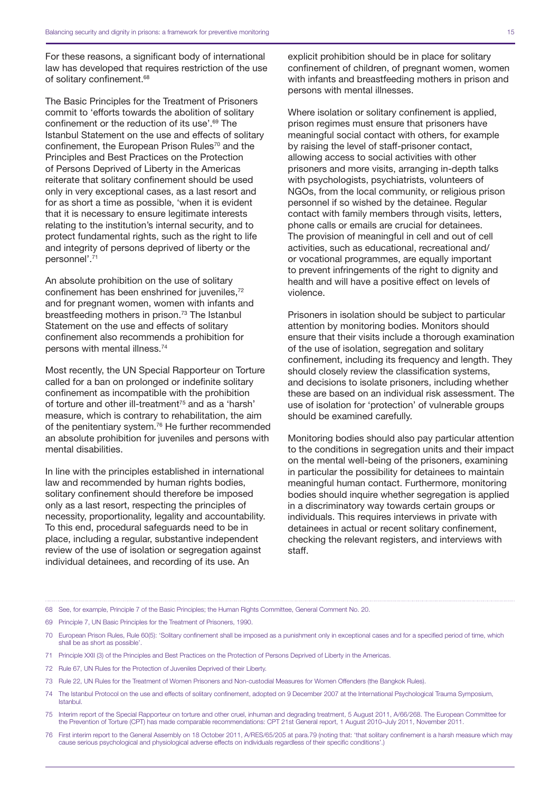For these reasons, a significant body of international law has developed that requires restriction of the use of solitary confinement.<sup>68</sup>

The Basic Principles for the Treatment of Prisoners commit to 'efforts towards the abolition of solitary confinement or the reduction of its use'.69 The Istanbul Statement on the use and effects of solitary confinement, the European Prison Rules<sup>70</sup> and the Principles and Best Practices on the Protection of Persons Deprived of Liberty in the Americas reiterate that solitary confinement should be used only in very exceptional cases, as a last resort and for as short a time as possible, 'when it is evident that it is necessary to ensure legitimate interests relating to the institution's internal security, and to protect fundamental rights, such as the right to life and integrity of persons deprived of liberty or the personnel'.71

An absolute prohibition on the use of solitary confinement has been enshrined for juveniles.<sup>72</sup> and for pregnant women, women with infants and breastfeeding mothers in prison.<sup>73</sup> The Istanbul Statement on the use and effects of solitary confinement also recommends a prohibition for persons with mental illness.74

Most recently, the UN Special Rapporteur on Torture called for a ban on prolonged or indefinite solitary confinement as incompatible with the prohibition of torture and other ill-treatment<sup>75</sup> and as a 'harsh' measure, which is contrary to rehabilitation, the aim of the penitentiary system.76 He further recommended an absolute prohibition for juveniles and persons with mental disabilities.

In line with the principles established in international law and recommended by human rights bodies, solitary confinement should therefore be imposed only as a last resort, respecting the principles of necessity, proportionality, legality and accountability. To this end, procedural safeguards need to be in place, including a regular, substantive independent review of the use of isolation or segregation against individual detainees, and recording of its use. An

explicit prohibition should be in place for solitary confinement of children, of pregnant women, women with infants and breastfeeding mothers in prison and persons with mental illnesses.

Where isolation or solitary confinement is applied. prison regimes must ensure that prisoners have meaningful social contact with others, for example by raising the level of staff-prisoner contact, allowing access to social activities with other prisoners and more visits, arranging in-depth talks with psychologists, psychiatrists, volunteers of NGOs, from the local community, or religious prison personnel if so wished by the detainee. Regular contact with family members through visits, letters, phone calls or emails are crucial for detainees. The provision of meaningful in cell and out of cell activities, such as educational, recreational and/ or vocational programmes, are equally important to prevent infringements of the right to dignity and health and will have a positive effect on levels of violence.

Prisoners in isolation should be subject to particular attention by monitoring bodies. Monitors should ensure that their visits include a thorough examination of the use of isolation, segregation and solitary confinement, including its frequency and length. They should closely review the classification systems, and decisions to isolate prisoners, including whether these are based on an individual risk assessment. The use of isolation for 'protection' of vulnerable groups should be examined carefully.

Monitoring bodies should also pay particular attention to the conditions in segregation units and their impact on the mental well-being of the prisoners, examining in particular the possibility for detainees to maintain meaningful human contact. Furthermore, monitoring bodies should inquire whether segregation is applied in a discriminatory way towards certain groups or individuals. This requires interviews in private with detainees in actual or recent solitary confinement, checking the relevant registers, and interviews with staff.

68 See, for example, Principle 7 of the Basic Principles; the Human Rights Committee, General Comment No. 20.

- 69 Principle 7, UN Basic Principles for the Treatment of Prisoners, 1990.
- 70 European Prison Rules, Rule 60(5): 'Solitary confinement shall be imposed as a punishment only in exceptional cases and for a specified period of time, which shall be as short as possible'.
- 71 Principle XXII (3) of the Principles and Best Practices on the Protection of Persons Deprived of Liberty in the Americas.
- 72 Rule 67, UN Rules for the Protection of Juveniles Deprived of their Liberty.
- 73 Rule 22, UN Rules for the Treatment of Women Prisoners and Non-custodial Measures for Women Offenders (the Bangkok Rules).
- 74 The Istanbul Protocol on the use and effects of solitary confinement, adopted on 9 December 2007 at the International Psychological Trauma Symposium, Istanbul.
- 75 Interim report of the Special Rapporteur on torture and other cruel, inhuman and degrading treatment, 5 August 2011, A/66/268. The European Committee for the Prevention of Torture (CPT) has made comparable recommendations: CPT 21st General report, 1 August 2010–July 2011, November 2011.
- 76 First interim report to the General Assembly on 18 October 2011, A/RES/65/205 at para.79 (noting that: 'that solitary confinement is a harsh measure which may cause serious psychological and physiological adverse effects on individuals regardless of their specific conditions'.)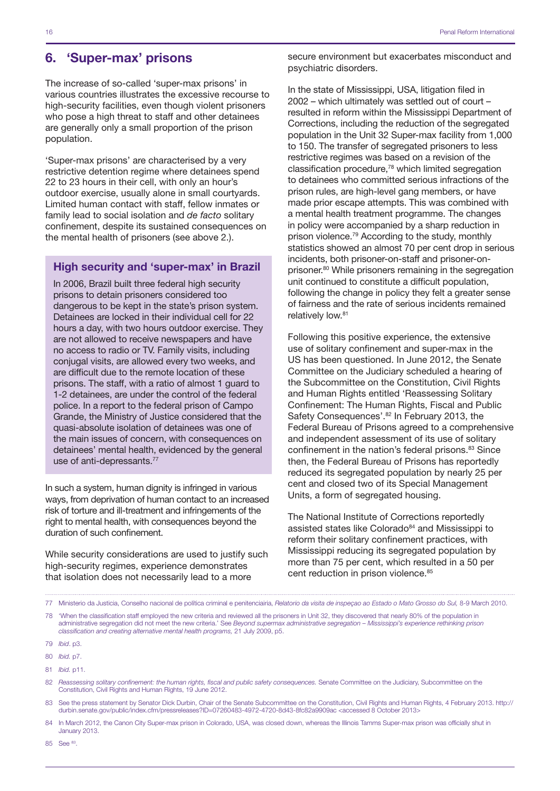#### 6. 'Super-max' prisons

The increase of so-called 'super-max prisons' in various countries illustrates the excessive recourse to high-security facilities, even though violent prisoners who pose a high threat to staff and other detainees are generally only a small proportion of the prison population.

'Super-max prisons' are characterised by a very restrictive detention regime where detainees spend 22 to 23 hours in their cell, with only an hour's outdoor exercise, usually alone in small courtyards. Limited human contact with staff, fellow inmates or family lead to social isolation and *de facto* solitary confinement, despite its sustained consequences on the mental health of prisoners (see above 2.).

#### High security and 'super-max' in Brazil

In 2006, Brazil built three federal high security prisons to detain prisoners considered too dangerous to be kept in the state's prison system. Detainees are locked in their individual cell for 22 hours a day, with two hours outdoor exercise. They are not allowed to receive newspapers and have no access to radio or TV. Family visits, including conjugal visits, are allowed every two weeks, and are difficult due to the remote location of these prisons. The staff, with a ratio of almost 1 guard to 1-2 detainees, are under the control of the federal police. In a report to the federal prison of Campo Grande, the Ministry of Justice considered that the quasi-absolute isolation of detainees was one of the main issues of concern, with consequences on detainees' mental health, evidenced by the general use of anti-depressants.<sup>77</sup>

In such a system, human dignity is infringed in various ways, from deprivation of human contact to an increased risk of torture and ill-treatment and infringements of the right to mental health, with consequences beyond the duration of such confinement.

While security considerations are used to justify such high-security regimes, experience demonstrates that isolation does not necessarily lead to a more

secure environment but exacerbates misconduct and psychiatric disorders.

In the state of Mississippi, USA, litigation filed in 2002 – which ultimately was settled out of court – resulted in reform within the Mississippi Department of Corrections, including the reduction of the segregated population in the Unit 32 Super-max facility from 1,000 to 150. The transfer of segregated prisoners to less restrictive regimes was based on a revision of the classification procedure,78 which limited segregation to detainees who committed serious infractions of the prison rules, are high-level gang members, or have made prior escape attempts. This was combined with a mental health treatment programme. The changes in policy were accompanied by a sharp reduction in prison violence.79 According to the study, monthly statistics showed an almost 70 per cent drop in serious incidents, both prisoner-on-staff and prisoner-onprisoner.80 While prisoners remaining in the segregation unit continued to constitute a difficult population, following the change in policy they felt a greater sense of fairness and the rate of serious incidents remained relatively low.<sup>81</sup>

Following this positive experience, the extensive use of solitary confinement and super-max in the US has been questioned. In June 2012, the Senate Committee on the Judiciary scheduled a hearing of the Subcommittee on the Constitution, Civil Rights and Human Rights entitled 'Reassessing Solitary Confinement: The Human Rights, Fiscal and Public Safety Consequences'.<sup>82</sup> In February 2013, the Federal Bureau of Prisons agreed to a comprehensive and independent assessment of its use of solitary confinement in the nation's federal prisons.<sup>83</sup> Since then, the Federal Bureau of Prisons has reportedly reduced its segregated population by nearly 25 per cent and closed two of its Special Management Units, a form of segregated housing.

The National Institute of Corrections reportedly assisted states like Colorado<sup>84</sup> and Mississippi to reform their solitary confinement practices, with Mississippi reducing its segregated population by more than 75 per cent, which resulted in a 50 per cent reduction in prison violence.<sup>85</sup>

83 See the press statement by Senator Dick Durbin, Chair of the Senate Subcommittee on the Constitution, Civil Rights and Human Rights, 4 February 2013. http:// durbin.senate.gov/public/index.cfm/pressreleases?ID=07260483-4972-4720-8d43-8fc82a9909ac <accessed 8 October 2013>

84 In March 2012, the Canon City Super-max prison in Colorado, USA, was closed down, whereas the Illinois Tamms Super-max prison was officially shut in January 2013.

85 See 83.

<sup>77</sup> Ministerio da Justicia, Conselho nacional de política criminal e penitenciairia, *Relatorio da visita de inspeçao ao Estado o Mato Grosso do Sul,* 8-9 March 2010.

<sup>78</sup> 'When the classification staff employed the new criteria and reviewed all the prisoners in Unit 32, they discovered that nearly 80% of the population in administrative segregation did not meet the new criteria.' See *Beyond supermax administrative segregation – Mississippi's experience rethinking prison classification and creating alternative mental health programs,* 21 July 2009, p5.

<sup>79</sup> *Ibid*. p3.

<sup>80</sup> *Ibid.* p7.

<sup>81</sup> *Ibid.* p11.

<sup>82</sup> *Reassessing solitary confinement: the human rights, fiscal and public safety consequences.* Senate Committee on the Judiciary, Subcommittee on the Constitution, Civil Rights and Human Rights, 19 June 2012.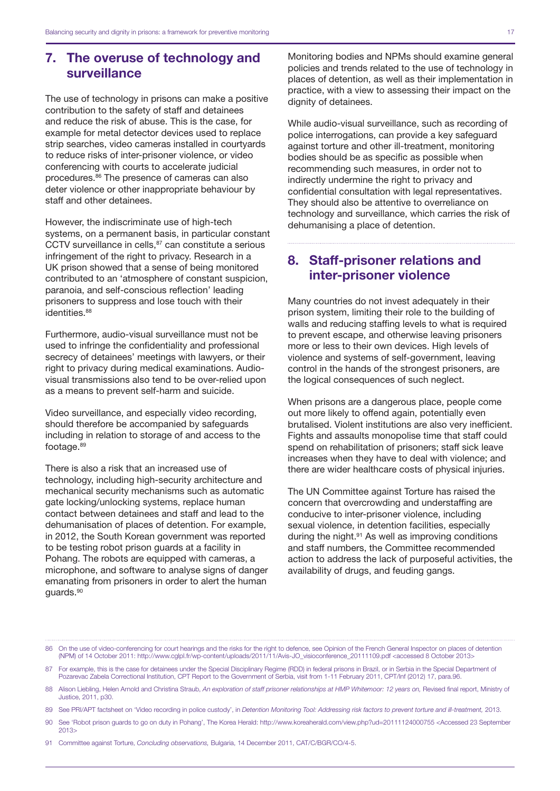#### 7. The overuse of technology and surveillance

The use of technology in prisons can make a positive contribution to the safety of staff and detainees and reduce the risk of abuse. This is the case, for example for metal detector devices used to replace strip searches, video cameras installed in courtyards to reduce risks of inter-prisoner violence, or video conferencing with courts to accelerate judicial procedures.86 The presence of cameras can also deter violence or other inappropriate behaviour by staff and other detainees.

However, the indiscriminate use of high-tech systems, on a permanent basis, in particular constant CCTV surveillance in cells.<sup>87</sup> can constitute a serious infringement of the right to privacy. Research in a UK prison showed that a sense of being monitored contributed to an 'atmosphere of constant suspicion, paranoia, and self-conscious reflection' leading prisoners to suppress and lose touch with their identities.<sup>88</sup>

Furthermore, audio-visual surveillance must not be used to infringe the confidentiality and professional secrecy of detainees' meetings with lawyers, or their right to privacy during medical examinations. Audiovisual transmissions also tend to be over-relied upon as a means to prevent self-harm and suicide.

Video surveillance, and especially video recording, should therefore be accompanied by safeguards including in relation to storage of and access to the footage.<sup>89</sup>

There is also a risk that an increased use of technology, including high-security architecture and mechanical security mechanisms such as automatic gate locking/unlocking systems, replace human contact between detainees and staff and lead to the dehumanisation of places of detention. For example, in 2012, the South Korean government was reported to be testing robot prison guards at a facility in Pohang. The robots are equipped with cameras, a microphone, and software to analyse signs of danger emanating from prisoners in order to alert the human guards.90

Monitoring bodies and NPMs should examine general policies and trends related to the use of technology in places of detention, as well as their implementation in practice, with a view to assessing their impact on the dignity of detainees.

While audio-visual surveillance, such as recording of police interrogations, can provide a key safeguard against torture and other ill-treatment, monitoring bodies should be as specific as possible when recommending such measures, in order not to indirectly undermine the right to privacy and confidential consultation with legal representatives. They should also be attentive to overreliance on technology and surveillance, which carries the risk of dehumanising a place of detention.

#### 8. Staff-prisoner relations and inter-prisoner violence

Many countries do not invest adequately in their prison system, limiting their role to the building of walls and reducing staffing levels to what is required to prevent escape, and otherwise leaving prisoners more or less to their own devices. High levels of violence and systems of self-government, leaving control in the hands of the strongest prisoners, are the logical consequences of such neglect.

When prisons are a dangerous place, people come out more likely to offend again, potentially even brutalised. Violent institutions are also very inefficient. Fights and assaults monopolise time that staff could spend on rehabilitation of prisoners; staff sick leave increases when they have to deal with violence; and there are wider healthcare costs of physical injuries.

The UN Committee against Torture has raised the concern that overcrowding and understaffing are conducive to inter-prisoner violence, including sexual violence, in detention facilities, especially during the night.91 As well as improving conditions and staff numbers, the Committee recommended action to address the lack of purposeful activities, the availability of drugs, and feuding gangs.

86 On the use of video-conferencing for court hearings and the risks for the right to defence, see Opinion of the French General Inspector on places of detention (NPM) of 14 October 2011: [http://www.cglpl.fr/wp-content/uploads/2011/11/Avis-JO\\_visioconference\\_20111109.pdf](http://www.cglpl.fr/wp-content/uploads/2011/11/Avis-JO_visioconference_20111109.pdf) <accessed 8 October 2013>

87 For example, this is the case for detainees under the Special Disciplinary Regime (RDD) in federal prisons in Brazil, or in Serbia in the Special Department of Pozarevac Zabela Correctional Institution, CPT Report to the Government of Serbia, visit from 1-11 February 2011, CPT/Inf (2012) 17, para.96.

- 88 Alison Liebling, Helen Arnold and Christina Straub, *An exploration of staff prisoner relationships at HMP Whitemoor: 12 years on,* Revised final report, Ministry of Justice, 2011, p30.
- 89 See PRI/APT factsheet on 'Video recording in police custody', in Detention Monitoring Tool: Addressing risk factors to prevent torture and ill-treatment, 2013.
- 90 See 'Robot prison guards to go on duty in Pohang', The Korea Herald: <http://www.koreaherald.com/view.php?ud=20111124000755> <Accessed 23 September 2013>

91 Committee against Torture, *Concluding observations,* Bulgaria, 14 December 2011, CAT/C/BGR/CO/4-5.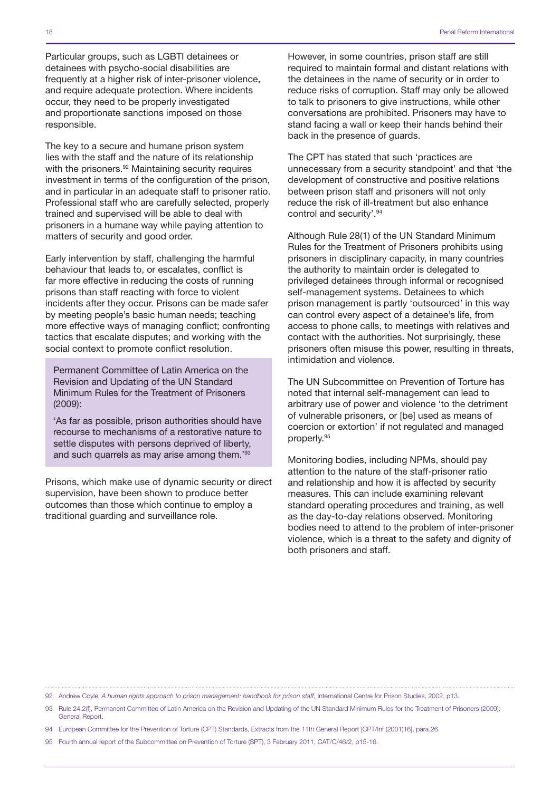Particular groups, such as LGBTI detainees or detainees with psycho-social disabilities are frequently at a higher risk of inter-prisoner violence, and require adequate protection. Where incidents occur, they need to be properly investigated and proportionate sanctions imposed on those responsible.

The key to a secure and humane prison system lies with the staff and the nature of its relationship with the prisoners.<sup>92</sup> Maintaining security requires investment in terms of the configuration of the prison, and in particular in an adequate staff to prisoner ratio. Professional staff who are carefully selected, properly trained and supervised will be able to deal with prisoners in a humane way while paying attention to matters of security and good order.

Early intervention by staff, challenging the harmful behaviour that leads to, or escalates, conflict is far more effective in reducing the costs of running prisons than staff reacting with force to violent incidents after they occur. Prisons can be made safer by meeting people's basic human needs; teaching more effective ways of managing conflict; confronting tactics that escalate disputes; and working with the social context to promote conflict resolution.

Permanent Committee of Latin America on the Revision and Updating of the UN Standard Minimum Rules for the Treatment of Prisoners (2009):

'As far as possible, prison authorities should have recourse to mechanisms of a restorative nature to settle disputes with persons deprived of liberty, and such quarrels as may arise among them.'93

Prisons, which make use of dynamic security or direct supervision, have been shown to produce better outcomes than those which continue to employ a traditional guarding and surveillance role.

However, in some countries, prison staff are still required to maintain formal and distant relations with the detainees in the name of security or in order to reduce risks of corruption. Staff may only be allowed to talk to prisoners to give instructions, while other conversations are prohibited. Prisoners may have to stand facing a wall or keep their hands behind their back in the presence of guards.

The CPT has stated that such 'practices are unnecessary from a security standpoint' and that 'the development of constructive and positive relations between prison staff and prisoners will not only reduce the risk of ill-treatment but also enhance control and security'.94

Although Rule 28(1) of the UN Standard Minimum Rules for the Treatment of Prisoners prohibits using prisoners in disciplinary capacity, in many countries the authority to maintain order is delegated to privileged detainees through informal or recognised self-management systems. Detainees to which prison management is partly 'outsourced' in this way can control every aspect of a detainee's life, from access to phone calls, to meetings with relatives and contact with the authorities. Not surprisingly, these prisoners often misuse this power, resulting in threats, intimidation and violence.

The UN Subcommittee on Prevention of Torture has noted that internal self-management can lead to arbitrary use of power and violence 'to the detriment of vulnerable prisoners, or [be] used as means of coercion or extortion' if not regulated and managed properly.95

Monitoring bodies, including NPMs, should pay attention to the nature of the staff-prisoner ratio and relationship and how it is affected by security measures. This can include examining relevant standard operating procedures and training, as well as the day-to-day relations observed. Monitoring bodies need to attend to the problem of inter-prisoner violence, which is a threat to the safety and dignity of both prisoners and staff.

<sup>92</sup> Andrew Coyle, *A human rights approach to prison management: handbook for prison staff,* International Centre for Prison Studies, 2002, p13.

<sup>93</sup> Rule 24.2(f), Permanent Committee of Latin America on the Revision and Updating of the UN Standard Minimum Rules for the Treatment of Prisoners (2009): General Report.

<sup>94</sup> European Committee for the Prevention of Torture (CPT) Standards, Extracts from the 11th General Report [CPT/Inf (2001)16], para.26.

<sup>95</sup> Fourth annual report of the Subcommittee on Prevention of Torture (SPT), 3 February 2011, CAT/C/46/2, p15-16.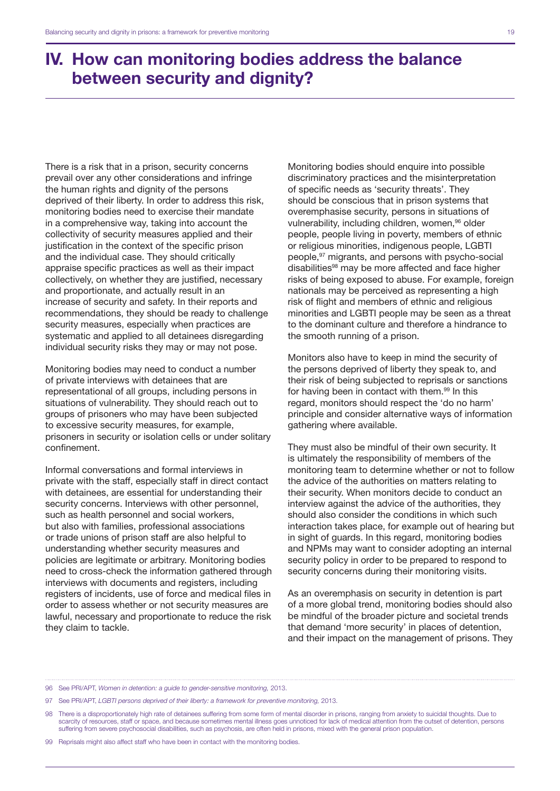## IV. How can monitoring bodies address the balance between security and dignity?

There is a risk that in a prison, security concerns prevail over any other considerations and infringe the human rights and dignity of the persons deprived of their liberty. In order to address this risk, monitoring bodies need to exercise their mandate in a comprehensive way, taking into account the collectivity of security measures applied and their justification in the context of the specific prison and the individual case. They should critically appraise specific practices as well as their impact collectively, on whether they are justified, necessary and proportionate, and actually result in an increase of security and safety. In their reports and recommendations, they should be ready to challenge security measures, especially when practices are systematic and applied to all detainees disregarding individual security risks they may or may not pose.

Monitoring bodies may need to conduct a number of private interviews with detainees that are representational of all groups, including persons in situations of vulnerability. They should reach out to groups of prisoners who may have been subjected to excessive security measures, for example, prisoners in security or isolation cells or under solitary confinement.

Informal conversations and formal interviews in private with the staff, especially staff in direct contact with detainees, are essential for understanding their security concerns. Interviews with other personnel, such as health personnel and social workers, but also with families, professional associations or trade unions of prison staff are also helpful to understanding whether security measures and policies are legitimate or arbitrary. Monitoring bodies need to cross-check the information gathered through interviews with documents and registers, including registers of incidents, use of force and medical files in order to assess whether or not security measures are lawful, necessary and proportionate to reduce the risk they claim to tackle.

Monitoring bodies should enquire into possible discriminatory practices and the misinterpretation of specific needs as 'security threats'. They should be conscious that in prison systems that overemphasise security, persons in situations of vulnerability, including children, women, <sup>96</sup> older people, people living in poverty, members of ethnic or religious minorities, indigenous people, LGBTI people,97 migrants, and persons with psycho-social disabilities<sup>98</sup> may be more affected and face higher risks of being exposed to abuse. For example, foreign nationals may be perceived as representing a high risk of flight and members of ethnic and religious minorities and LGBTI people may be seen as a threat to the dominant culture and therefore a hindrance to the smooth running of a prison.

Monitors also have to keep in mind the security of the persons deprived of liberty they speak to, and their risk of being subjected to reprisals or sanctions for having been in contact with them.<sup>99</sup> In this regard, monitors should respect the 'do no harm' principle and consider alternative ways of information gathering where available.

They must also be mindful of their own security. It is ultimately the responsibility of members of the monitoring team to determine whether or not to follow the advice of the authorities on matters relating to their security. When monitors decide to conduct an interview against the advice of the authorities, they should also consider the conditions in which such interaction takes place, for example out of hearing but in sight of guards. In this regard, monitoring bodies and NPMs may want to consider adopting an internal security policy in order to be prepared to respond to security concerns during their monitoring visits.

As an overemphasis on security in detention is part of a more global trend, monitoring bodies should also be mindful of the broader picture and societal trends that demand 'more security' in places of detention, and their impact on the management of prisons. They

96 See PRI/APT, *Women in detention: a guide to gender-sensitive monitoring,* 2013.

97 See PRI/APT, *LGBTI persons deprived of their liberty: a framework for preventive monitoring,* 2013.

98 There is a disproportionately high rate of detainees suffering from some form of mental disorder in prisons, ranging from anxiety to suicidal thoughts. Due to scarcity of resources, staff or space, and because sometimes mental illness goes unnoticed for lack of medical attention from the outset of detention, persons suffering from severe psychosocial disabilities, such as psychosis, are often held in prisons, mixed with the general prison population.

99 Reprisals might also affect staff who have been in contact with the monitoring bodies.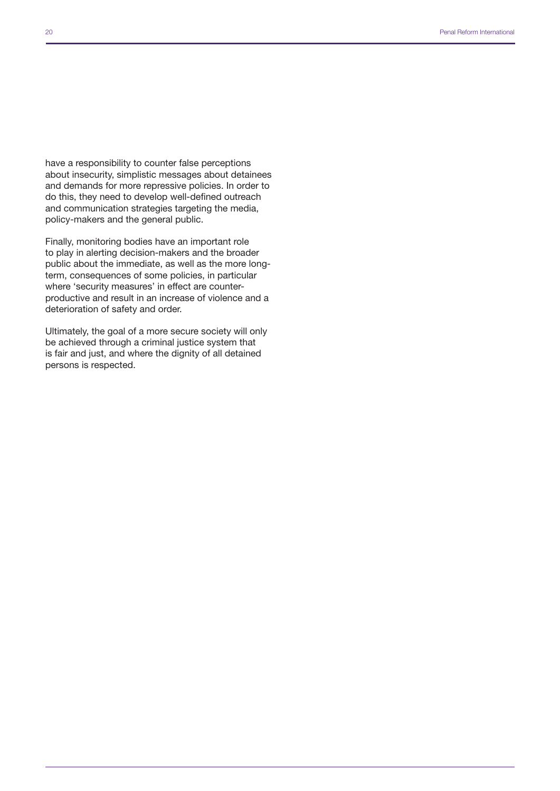have a responsibility to counter false perceptions about insecurity, simplistic messages about detainees and demands for more repressive policies. In order to do this, they need to develop well-defined outreach and communication strategies targeting the media, policy-makers and the general public.

Finally, monitoring bodies have an important role to play in alerting decision-makers and the broader public about the immediate, as well as the more longterm, consequences of some policies, in particular where 'security measures' in effect are counterproductive and result in an increase of violence and a deterioration of safety and order.

Ultimately, the goal of a more secure society will only be achieved through a criminal justice system that is fair and just, and where the dignity of all detained persons is respected.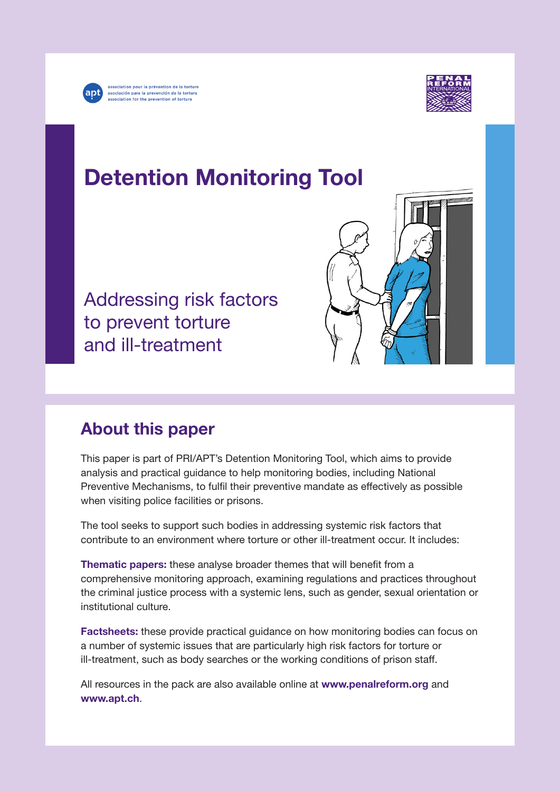

association pour la prévention de la torture<br>asociación para la prevención de la tortura association for the prevention of torture



# Detention Monitoring Tool

Addressing risk factors to prevent torture and ill-treatment

## About this paper

This paper is part of PRI/APT's Detention Monitoring Tool, which aims to provide analysis and practical guidance to help monitoring bodies, including National Preventive Mechanisms, to fulfil their preventive mandate as effectively as possible when visiting police facilities or prisons.

The tool seeks to support such bodies in addressing systemic risk factors that contribute to an environment where torture or other ill-treatment occur. It includes:

Thematic papers: these analyse broader themes that will benefit from a comprehensive monitoring approach, examining regulations and practices throughout the criminal justice process with a systemic lens, such as gender, sexual orientation or institutional culture.

Factsheets: these provide practical guidance on how monitoring bodies can focus on a number of systemic issues that are particularly high risk factors for torture or ill-treatment, such as body searches or the working conditions of prison staff.

All resources in the pack are also available online at [www.penalreform.org](http://www.penalreform.org) and [www.apt.ch](http://www.apt.ch).